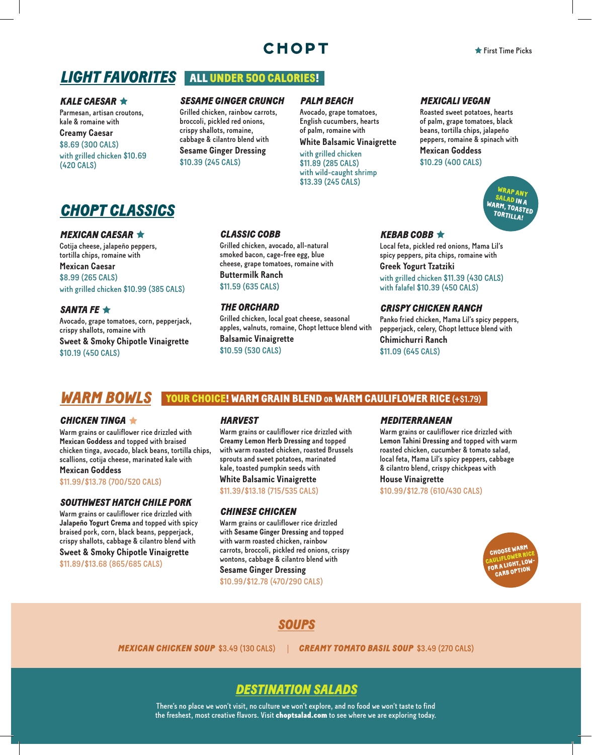## **CHOPT**

## **LIGHT FAVORITES** ALL UNDER 500 CALORIES!

#### *KALE CAESAR*

Parmesan, artisan croutons, kale & romaine with **Creamy Caesar** \$8.69 (300 CALS) with grilled chicken \$10.69 (420 CALS)

#### *SESAME GINGER CRUNCH*

Grilled chicken, rainbow carrots, broccoli, pickled red onions, crispy shallots, romaine, cabbage & cilantro blend with **Sesame Ginger Dressing** \$10.39 (245 CALS)

#### *PALM BEACH*

Avocado, grape tomatoes, English cucumbers, hearts of palm, romaine with

### **White Balsamic Vinaigrette**

with grilled chicken \$11.89 (285 CALS) with wild-caught shrimp \$13.39 (245 CALS)

*MEXICALI VEGAN*

Roasted sweet potatoes, hearts of palm, grape tomatoes, black beans, tortilla chips, jalapeño peppers, romaine & spinach with **Mexican Goddess**

\$10.29 (400 CALS)

WRAP ANY SALAD IN A WARM, TOASTED TORTILLA!

## *CHOPT CLASSICS*

#### *MEXICAN CAESAR*

Cotija cheese, jalapeño peppers, tortilla chips, romaine with

**Mexican Caesar** \$8.99 (265 CALS) with grilled chicken \$10.99 (385 CALS)

### *SANTA FE*

Avocado, grape tomatoes, corn, pepperjack, crispy shallots, romaine with **Sweet & Smoky Chipotle Vinaigrette** \$10.19 (450 CALS)

#### *CLASSIC COBB*

Grilled chicken, avocado, all-natural smoked bacon, cage-free egg, blue cheese, grape tomatoes, romaine with **Buttermilk Ranch** \$11.59 (635 CALS)

*THE ORCHARD*

Grilled chicken, local goat cheese, seasonal apples, walnuts, romaine, Chopt lettuce blend with **Balsamic Vinaigrette** \$10.59 (530 CALS)

#### *KEBAB COBB*

Local feta, pickled red onions, Mama Lil's spicy peppers, pita chips, romaine with **Greek Yogurt Tzatziki**

with grilled chicken \$11.39 (430 CALS) with falafel \$10.39 (450 CALS)

#### *CRISPY CHICKEN RANCH*

Panko fried chicken, Mama Lil's spicy peppers, pepperjack, celery, Chopt lettuce blend with **Chimichurri Ranch** \$11.09 (645 CALS)

## *WARM BOWLS* YOUR CHOICE! WARM GRAIN BLEND or WARM CAULIFLOWER RICE **(+\$1.79)**

#### *CHICKEN TINGA*

Warm grains or cauliflower rice drizzled with **Mexican Goddess** and topped with braised chicken tinga, avocado, black beans, tortilla chips, scallions, cotija cheese, marinated kale with **Mexican Goddess**

\$11.99/\$13.78 (700/520 CALS)

#### *SOUTHWEST HATCH CHILE PORK*

Warm grains or cauliflower rice drizzled with **Jalapeño Yogurt Crema** and topped with spicy braised pork, corn, black beans, pepperjack, crispy shallots, cabbage & cilantro blend with **Sweet & Smoky Chipotle Vinaigrette**

\$11.89/\$13.68 (865/685 CALS)

#### *HARVEST*

Warm grains or cauliflower rice drizzled with **Creamy Lemon Herb Dressing** and topped with warm roasted chicken, roasted Brussels sprouts and sweet potatoes, marinated kale, toasted pumpkin seeds with **White Balsamic Vinaigrette** \$11.39/\$13.18 (715/535 CALS)

#### *CHINESE CHICKEN*

Warm grains or cauliflower rice drizzled with **Sesame Ginger Dressing** and topped with warm roasted chicken, rainbow carrots, broccoli, pickled red onions, crispy wontons, cabbage & cilantro blend with

### **Sesame Ginger Dressing**

\$10.99/\$12.78 (470/290 CALS)

#### *MEDITERRANEAN*

Warm grains or cauliflower rice drizzled with **Lemon Tahini Dressing** and topped with warm roasted chicken, cucumber & tomato salad, local feta, Mama Lil's spicy peppers, cabbage & cilantro blend, crispy chickpeas with **House Vinaigrette** \$10.99/\$12.78 (610/430 CALS)



*SOUPS*

*MEXICAN CHICKEN SOUP* \$3.49 (130 CALS) *CREAMY TOMATO BASIL SOUP* \$3.49 (270 CALS)

### *DESTINATION SALADS*

There's no place we won't visit, no culture we won't explore, and no food we won't taste to find the freshest, most creative flavors. Visit choptsalad.com to see where we are exploring today.